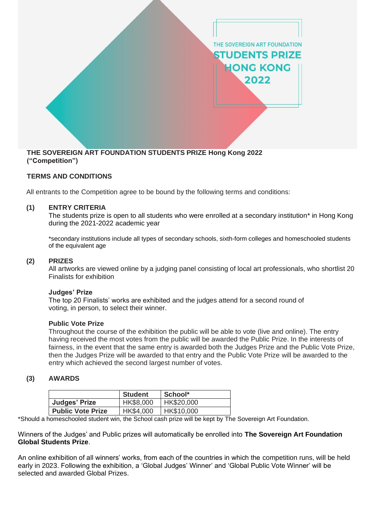

## **TERMS AND CONDITIONS**

All entrants to the Competition agree to be bound by the following terms and conditions:

### **(1) ENTRY CRITERIA**

The students prize is open to all students who were enrolled at a secondary institution\* in Hong Kong during the 2021-2022 academic year

\*secondary institutions include all types of secondary schools, sixth-form colleges and homeschooled students of the equivalent age

### **(2) PRIZES**

All artworks are viewed online by a judging panel consisting of local art professionals, who shortlist 20 Finalists for exhibition

#### **Judges' Prize**

The top 20 Finalists' works are exhibited and the judges attend for a second round of voting, in person, to select their winner.

### **Public Vote Prize**

Throughout the course of the exhibition the public will be able to vote (live and online). The entry having received the most votes from the public will be awarded the Public Prize. In the interests of fairness, in the event that the same entry is awarded both the Judges Prize and the Public Vote Prize, then the Judges Prize will be awarded to that entry and the Public Vote Prize will be awarded to the entry which achieved the second largest number of votes.

## **(3) AWARDS**

|                          | <b>Student</b> | School*    |
|--------------------------|----------------|------------|
| <b>Judges' Prize</b>     | HK\$8,000      | HK\$20,000 |
| <b>Public Vote Prize</b> | HK\$4,000      | HK\$10,000 |

\*Should a homeschooled student win, the School cash prize will be kept by The Sovereign Art Foundation.

Winners of the Judges' and Public prizes will automatically be enrolled into **The Sovereign Art Foundation Global Students Prize**.

An online exhibition of all winners' works, from each of the countries in which the competition runs, will be held early in 2023. Following the exhibition, a 'Global Judges' Winner' and 'Global Public Vote Winner' will be selected and awarded Global Prizes.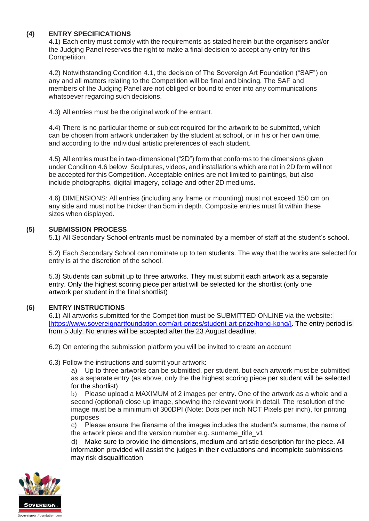# **(4) ENTRY SPECIFICATIONS**

4.1) Each entry must comply with the requirements as stated herein but the organisers and/or the Judging Panel reserves the right to make a final decision to accept any entry for this Competition.

4.2) Notwithstanding Condition 4.1, the decision of The Sovereign Art Foundation ("SAF") on any and all matters relating to the Competition will be final and binding. The SAF and members of the Judging Panel are not obliged or bound to enter into any communications whatsoever regarding such decisions.

4.3) All entries must be the original work of the entrant.

4.4) There is no particular theme or subject required for the artwork to be submitted, which can be chosen from artwork undertaken by the student at school, or in his or her own time, and according to the individual artistic preferences of each student.

4.5) All entries must be in two-dimensional ("2D") form that conforms to the dimensions given under Condition 4.6 below. Sculptures, videos, and installations which are not in 2D form will not be accepted for this Competition. Acceptable entries are not limited to paintings, but also include photographs, digital imagery, collage and other 2D mediums.

4.6) DIMENSIONS: All entries (including any frame or mounting) must not exceed 150 cm on any side and must not be thicker than 5cm in depth. Composite entries must fit within these sizes when displayed.

## **(5) SUBMISSION PROCESS**

5.1) All Secondary School entrants must be nominated by a member of staff at the student's school.

5.2) Each Secondary School can nominate up to ten students. The way that the works are selected for entry is at the discretion of the school.

5.3) Students can submit up to three artworks. They must submit each artwork as a separate entry. Only the highest scoring piece per artist will be selected for the shortlist (only one artwork per student in the final shortlist)

## **(6) ENTRY INSTRUCTIONS**

6.1) All artworks submitted for the Competition must be SUBMITTED ONLINE via the website: [\[h](https://www.sovereignartfoundation.com/art-prizes/student-art-prize/mauritius/)ttps://www.sovereignartfoundation.com/art-prizes/student-art-prize/hong-kong/]. The entry period is from 5 July. No entries will be accepted after the 23 August deadline.

- 6.2) On entering the submission platform you will be invited to create an account
- 6.3) Follow the instructions and submit your artwork:

a) Up to three artworks can be submitted, per student, but each artwork must be submitted as a separate entry (as above, only the the highest scoring piece per student will be selected for the shortlist)

b) Please upload a MAXIMUM of 2 images per entry. One of the artwork as a whole and a second (optional) close up image, showing the relevant work in detail. The resolution of the image must be a minimum of 300DPI (Note: Dots per inch NOT Pixels per inch), for printing purposes

c) Please ensure the filename of the images includes the student's surname, the name of the artwork piece and the version number e.g. surname\_title\_v1

d) Make sure to provide the dimensions, medium and artistic description for the piece. All information provided will assist the judges in their evaluations and incomplete submissions may risk disqualification

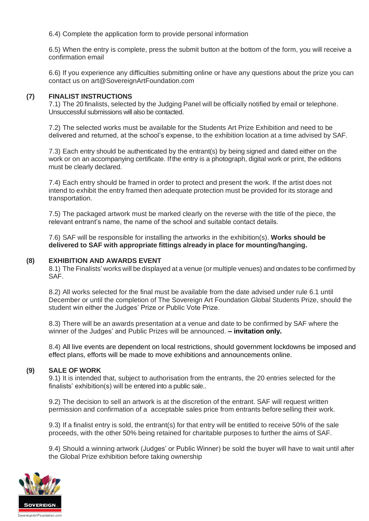6.4) Complete the application form to provide personal information

6.5) When the entry is complete, press the submit button at the bottom of the form, you will receive a confirmation email

6.6) If you experience any difficulties submitting online or have any questions about the prize you can contact us on art@SovereignArtFoundation.com

### **(7) FINALIST INSTRUCTIONS**

7.1) The 20 finalists, selected by the Judging Panel will be officially notified by email or telephone. Unsuccessful submissions will also be contacted.

7.2) The selected works must be available for the Students Art Prize Exhibition and need to be delivered and returned, at the school's expense, to the exhibition location at a time advised by SAF.

7.3) Each entry should be authenticated by the entrant(s) by being signed and dated either on the work or on an accompanying certificate. If the entry is a photograph, digital work or print, the editions must be clearly declared.

7.4) Each entry should be framed in order to protect and present the work. If the artist does not intend to exhibit the entry framed then adequate protection must be provided for its storage and transportation.

7.5) The packaged artwork must be marked clearly on the reverse with the title of the piece, the relevant entrant's name, the name of the school and suitable contact details.

7.6) SAF will be responsible for installing the artworks in the exhibition(s). **Works should be delivered to SAF with appropriate fittings already in place for mounting/hanging.**

### **(8) EXHIBITION AND AWARDS EVENT**

8.1) The Finalists' works will be displayed at a venue (or multiple venues) and on dates to be confirmed by SAF.

8.2) All works selected for the final must be available from the date advised under rule 6.1 until December or until the completion of The Sovereign Art Foundation Global Students Prize, should the student win either the Judges' Prize or Public Vote Prize.

8.3) There will be an awards presentation at a venue and date to be confirmed by SAF where the winner of the Judges' and Public Prizes will be announced. **– invitation only.**

8.4) All live events are dependent on local restrictions, should government lockdowns be imposed and effect plans, efforts will be made to move exhibitions and announcements online.

#### **(9) SALE OF WORK**

9.1) It is intended that, subject to authorisation from the entrants, the 20 entries selected for the finalists' exhibition(s) will be entered into a public sale..

9.2) The decision to sell an artwork is at the discretion of the entrant. SAF will request written permission and confirmation of a acceptable sales price from entrants before selling their work.

9.3) If a finalist entry is sold, the entrant(s) for that entry will be entitled to receive 50% of the sale proceeds, with the other 50% being retained for charitable purposes to further the aims of SAF.

9.4) Should a winning artwork (Judges' or Public Winner) be sold the buyer will have to wait until after the Global Prize exhibition before taking ownership